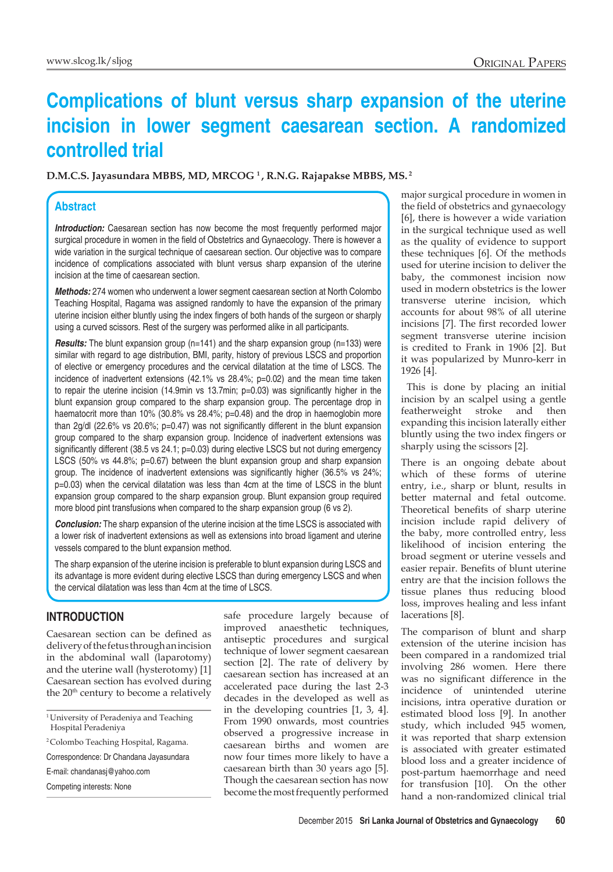# **Complications of blunt versus sharp expansion of the uterine incision in lower segment caesarean section. A randomized controlled trial**

**D.M.C.S. Jayasundara MBBS, MD, MRCOG 1 , R.N.G. Rajapakse MBBS, MS. 2**

## **Abstract**

**Introduction:** Caesarean section has now become the most frequently performed major surgical procedure in women in the field of Obstetrics and Gynaecology. There is however a wide variation in the surgical technique of caesarean section. Our objective was to compare incidence of complications associated with blunt versus sharp expansion of the uterine incision at the time of caesarean section.

*Methods:* 274 women who underwent a lower segment caesarean section at North Colombo Teaching Hospital, Ragama was assigned randomly to have the expansion of the primary uterine incision either bluntly using the index fingers of both hands of the surgeon or sharply using a curved scissors. Rest of the surgery was performed alike in all participants.

**Results:** The blunt expansion group (n=141) and the sharp expansion group (n=133) were similar with regard to age distribution, BMI, parity, history of previous LSCS and proportion of elective or emergency procedures and the cervical dilatation at the time of LSCS. The incidence of inadvertent extensions (42.1% vs 28.4%; p=0.02) and the mean time taken to repair the uterine incision (14.9min vs 13.7min; p=0.03) was significantly higher in the blunt expansion group compared to the sharp expansion group. The percentage drop in haematocrit more than 10% (30.8% vs 28.4%; p=0.48) and the drop in haemoglobin more than 2g/dl (22.6% vs 20.6%; p=0.47) was not significantly different in the blunt expansion group compared to the sharp expansion group. Incidence of inadvertent extensions was significantly different (38.5 vs 24.1; p=0.03) during elective LSCS but not during emergency LSCS (50% vs 44.8%; p=0.67) between the blunt expansion group and sharp expansion group. The incidence of inadvertent extensions was significantly higher (36.5% vs 24%; p=0.03) when the cervical dilatation was less than 4cm at the time of LSCS in the blunt expansion group compared to the sharp expansion group. Blunt expansion group required more blood pint transfusions when compared to the sharp expansion group (6 vs 2).

*Conclusion:* The sharp expansion of the uterine incision at the time LSCS is associated with a lower risk of inadvertent extensions as well as extensions into broad ligament and uterine vessels compared to the blunt expansion method.

The sharp expansion of the uterine incision is preferable to blunt expansion during LSCS and its advantage is more evident during elective LSCS than during emergency LSCS and when the cervical dilatation was less than 4cm at the time of LSCS.

## **INTRODUCTION**

Caesarean section can be defined as delivery of the fetus through an incision in the abdominal wall (laparotomy) and the uterine wall (hysterotomy) [1] Caesarean section has evolved during the 20<sup>th</sup> century to become a relatively safe procedure largely because of improved anaesthetic techniques, antiseptic procedures and surgical technique of lower segment caesarean section [2]. The rate of delivery by caesarean section has increased at an accelerated pace during the last 2-3 decades in the developed as well as in the developing countries [1, 3, 4]. From 1990 onwards, most countries observed a progressive increase in caesarean births and women are now four times more likely to have a caesarean birth than 30 years ago [5]. Though the caesarean section has now become the most frequently performed

major surgical procedure in women in the field of obstetrics and gynaecology [6], there is however a wide variation in the surgical technique used as well as the quality of evidence to support these techniques [6]. Of the methods used for uterine incision to deliver the baby, the commonest incision now used in modern obstetrics is the lower transverse uterine incision, which accounts for about 98% of all uterine incisions [7]. The first recorded lower segment transverse uterine incision is credited to Frank in 1906 [2]. But it was popularized by Munro-kerr in 1926 [4].

 This is done by placing an initial incision by an scalpel using a gentle featherweight stroke and then expanding this incision laterally either bluntly using the two index fingers or sharply using the scissors [2].

There is an ongoing debate about which of these forms of uterine entry, i.e., sharp or blunt, results in better maternal and fetal outcome. Theoretical benefits of sharp uterine incision include rapid delivery of the baby, more controlled entry, less likelihood of incision entering the broad segment or uterine vessels and easier repair. Benefits of blunt uterine entry are that the incision follows the tissue planes thus reducing blood loss, improves healing and less infant lacerations [8].

The comparison of blunt and sharp extension of the uterine incision has been compared in a randomized trial involving 286 women. Here there was no significant difference in the incidence of unintended uterine incisions, intra operative duration or estimated blood loss [9]. In another study, which included 945 women, it was reported that sharp extension is associated with greater estimated blood loss and a greater incidence of post-partum haemorrhage and need for transfusion [10]. On the other hand a non-randomized clinical trial

<sup>&</sup>lt;sup>1</sup> University of Peradeniya and Teaching Hospital Peradeniya

<sup>2</sup> Colombo Teaching Hospital, Ragama.

Correspondence: Dr Chandana Jayasundara

E-mail: chandanasj@yahoo.com

Competing interests: None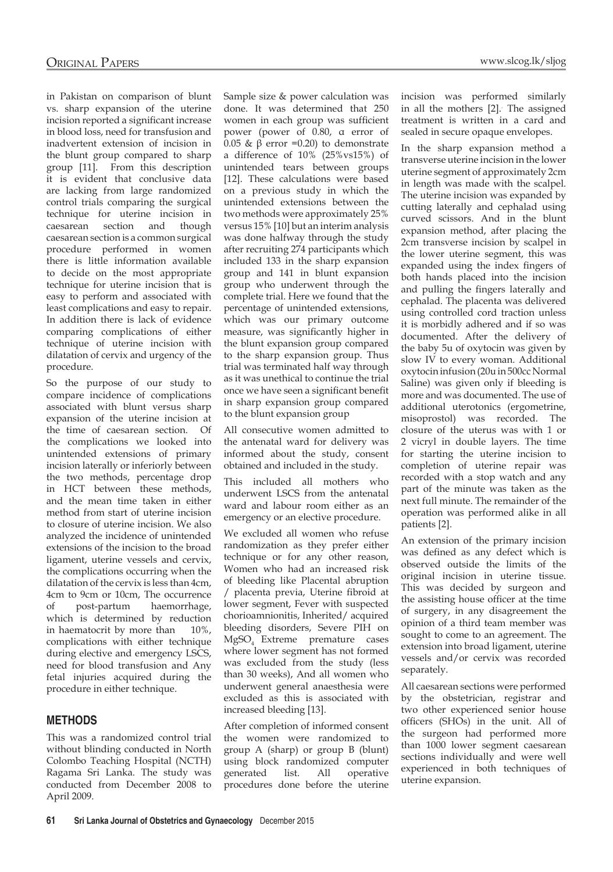in Pakistan on comparison of blunt vs. sharp expansion of the uterine incision reported a significant increase in blood loss, need for transfusion and inadvertent extension of incision in the blunt group compared to sharp group [11]. From this description it is evident that conclusive data are lacking from large randomized control trials comparing the surgical technique for uterine incision in caesarean section and though caesarean section is a common surgical procedure performed in women there is little information available to decide on the most appropriate technique for uterine incision that is easy to perform and associated with least complications and easy to repair. In addition there is lack of evidence comparing complications of either technique of uterine incision with dilatation of cervix and urgency of the procedure.

So the purpose of our study to compare incidence of complications associated with blunt versus sharp expansion of the uterine incision at the time of caesarean section. Of the complications we looked into unintended extensions of primary incision laterally or inferiorly between the two methods, percentage drop in HCT between these methods, and the mean time taken in either method from start of uterine incision to closure of uterine incision. We also analyzed the incidence of unintended extensions of the incision to the broad ligament, uterine vessels and cervix, the complications occurring when the dilatation of the cervix is less than 4cm, 4cm to 9cm or 10cm, The occurrence of post-partum haemorrhage, which is determined by reduction in haematocrit by more than 10%, complications with either technique during elective and emergency LSCS, need for blood transfusion and Any fetal injuries acquired during the procedure in either technique.

### **METHODS**

This was a randomized control trial without blinding conducted in North Colombo Teaching Hospital (NCTH) Ragama Sri Lanka. The study was conducted from December 2008 to April 2009.

Sample size & power calculation was done. It was determined that 250 women in each group was sufficient power (power of 0.80, α error of 0.05 & β error =0.20) to demonstrate a difference of 10% (25%vs15%) of unintended tears between groups [12]. These calculations were based on a previous study in which the unintended extensions between the two methods were approximately 25% versus 15% [10] but an interim analysis was done halfway through the study after recruiting 274 participants which included 133 in the sharp expansion group and 141 in blunt expansion group who underwent through the complete trial. Here we found that the percentage of unintended extensions, which was our primary outcome measure, was significantly higher in the blunt expansion group compared to the sharp expansion group. Thus trial was terminated half way through as it was unethical to continue the trial once we have seen a significant benefit in sharp expansion group compared to the blunt expansion group

All consecutive women admitted to the antenatal ward for delivery was informed about the study, consent obtained and included in the study.

This included all mothers who underwent LSCS from the antenatal ward and labour room either as an emergency or an elective procedure.

We excluded all women who refuse randomization as they prefer either technique or for any other reason, Women who had an increased risk of bleeding like Placental abruption / placenta previa, Uterine fibroid at lower segment, Fever with suspected chorioamnionitis, Inherited/ acquired bleeding disorders, Severe PIH on MgSO4 Extreme premature cases where lower segment has not formed was excluded from the study (less than 30 weeks), And all women who underwent general anaesthesia were excluded as this is associated with increased bleeding [13].

After completion of informed consent the women were randomized to group A (sharp) or group B (blunt) using block randomized computer generated list. All operative procedures done before the uterine

incision was performed similarly in all the mothers [2].. The assigned treatment is written in a card and sealed in secure opaque envelopes.

In the sharp expansion method a transverse uterine incision in the lower uterine segment of approximately 2cm in length was made with the scalpel. The uterine incision was expanded by cutting laterally and cephalad using curved scissors. And in the blunt expansion method, after placing the 2cm transverse incision by scalpel in the lower uterine segment, this was expanded using the index fingers of both hands placed into the incision and pulling the fingers laterally and cephalad. The placenta was delivered using controlled cord traction unless it is morbidly adhered and if so was documented. After the delivery of the baby 5u of oxytocin was given by slow IV to every woman. Additional oxytocin infusion (20u in 500cc Normal Saline) was given only if bleeding is more and was documented. The use of additional uterotonics (ergometrine, misoprostol) was recorded. The closure of the uterus was with 1 or 2 vicryl in double layers. The time for starting the uterine incision to completion of uterine repair was recorded with a stop watch and any part of the minute was taken as the next full minute. The remainder of the operation was performed alike in all patients [2].

An extension of the primary incision was defined as any defect which is observed outside the limits of the original incision in uterine tissue. This was decided by surgeon and the assisting house officer at the time of surgery, in any disagreement the opinion of a third team member was sought to come to an agreement. The extension into broad ligament, uterine vessels and/or cervix was recorded separately.

All caesarean sections were performed by the obstetrician, registrar and two other experienced senior house officers (SHOs) in the unit. All of the surgeon had performed more than 1000 lower segment caesarean sections individually and were well experienced in both techniques of uterine expansion.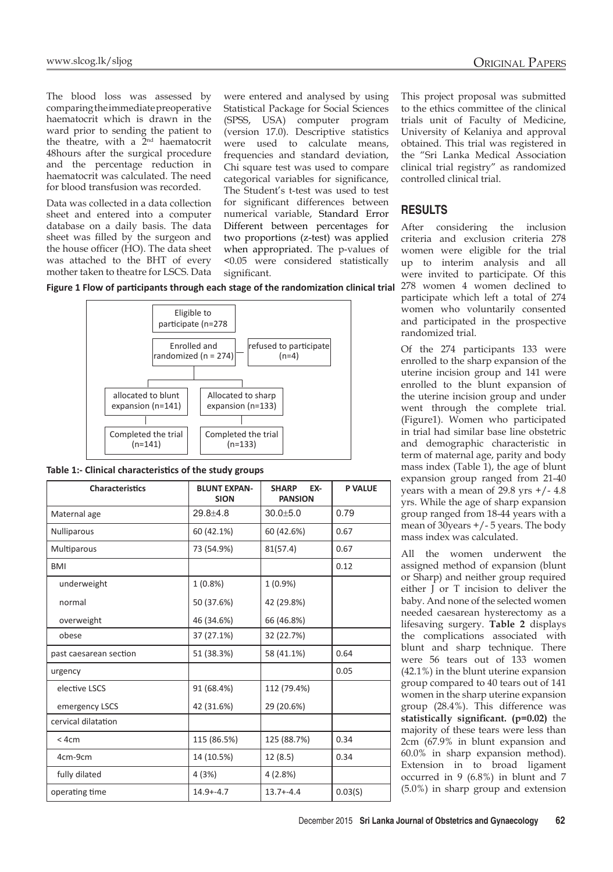The blood loss was assessed by comparing the immediate preoperative haematocrit which is drawn in the ward prior to sending the patient to the theatre, with a 2<sup>nd</sup> haematocrit 48hours after the surgical procedure and the percentage reduction in haematocrit was calculated. The need for blood transfusion was recorded.

Data was collected in a data collection sheet and entered into a computer database on a daily basis. The data sheet was filled by the surgeon and the house officer (HO). The data sheet was attached to the BHT of every mother taken to theatre for LSCS. Data were entered and analysed by using Statistical Package for Social Sciences (SPSS, USA) computer program (version 17.0). Descriptive statistics were used to calculate means, frequencies and standard deviation, Chi square test was used to compare categorical variables for significance, The Student's t-test was used to test for significant differences between numerical variable, Standard Error Different between percentages for two proportions (z-test) was applied when appropriated. The p-values of <0.05 were considered statistically significant.



**Table 1:- Clinical characteristics of the study groups**

| <b>Characteristics</b> | <b>BLUNT EXPAN-</b><br><b>SION</b> | <b>SHARP</b><br>EX-<br><b>PANSION</b> | <b>P VALUE</b> |
|------------------------|------------------------------------|---------------------------------------|----------------|
| Maternal age           | $29.8 + 4.8$                       | $30.0 + 5.0$                          | 0.79           |
| <b>Nulliparous</b>     | 60 (42.1%)                         | 60 (42.6%)                            | 0.67           |
| Multiparous            | 73 (54.9%)                         | 81(57.4)                              | 0.67           |
| <b>BMI</b>             |                                    |                                       | 0.12           |
| underweight            | $1(0.8\%)$                         | $1(0.9\%)$                            |                |
| normal                 | 50 (37.6%)                         | 42 (29.8%)                            |                |
| overweight             | 46 (34.6%)                         | 66 (46.8%)                            |                |
| obese                  | 37 (27.1%)                         | 32 (22.7%)                            |                |
| past caesarean section | 51 (38.3%)                         | 58 (41.1%)                            | 0.64           |
| urgency                |                                    |                                       | 0.05           |
| elective LSCS          | 91 (68.4%)                         | 112 (79.4%)                           |                |
| emergency LSCS         | 42 (31.6%)                         | 29 (20.6%)                            |                |
| cervical dilatation    |                                    |                                       |                |
| $<$ 4cm                | 115 (86.5%)                        | 125 (88.7%)                           | 0.34           |
| 4cm-9cm                | 14 (10.5%)                         | 12(8.5)                               | 0.34           |
| fully dilated          | 4(3%)                              | 4(2.8%)                               |                |
| operating time         | $14.9 + -4.7$                      | $13.7 + -4.4$                         | 0.03(S)        |

This project proposal was submitted to the ethics committee of the clinical trials unit of Faculty of Medicine, University of Kelaniya and approval obtained. This trial was registered in the "Sri Lanka Medical Association clinical trial registry" as randomized controlled clinical trial.

#### **RESULTS**

After considering the inclusion criteria and exclusion criteria 278 women were eligible for the trial up to interim analysis and all were invited to participate. Of this 278 women 4 women declined to participate which left a total of 274 women who voluntarily consented and participated in the prospective randomized trial.

Of the 274 participants 133 were enrolled to the sharp expansion of the uterine incision group and 141 were enrolled to the blunt expansion of the uterine incision group and under went through the complete trial. (Figure1). Women who participated in trial had similar base line obstetric and demographic characteristic in term of maternal age, parity and body mass index (Table 1), the age of blunt expansion group ranged from 21-40 years with a mean of  $29.8$  yrs  $+/- 4.8$ yrs. While the age of sharp expansion group ranged from 18-44 years with a mean of 30years +/- 5 years. The body mass index was calculated.

All the women underwent the assigned method of expansion (blunt or Sharp) and neither group required either J or T incision to deliver the baby. And none of the selected women needed caesarean hysterectomy as a lifesaving surgery. **Table 2** displays the complications associated with blunt and sharp technique. There were 56 tears out of 133 women (42.1%) in the blunt uterine expansion group compared to 40 tears out of 141 women in the sharp uterine expansion group (28.4%). This difference was **statistically significant. (p=0.02)** the majority of these tears were less than 2cm (67.9% in blunt expansion and 60.0% in sharp expansion method). Extension in to broad ligament occurred in 9 (6.8%) in blunt and 7 (5.0%) in sharp group and extension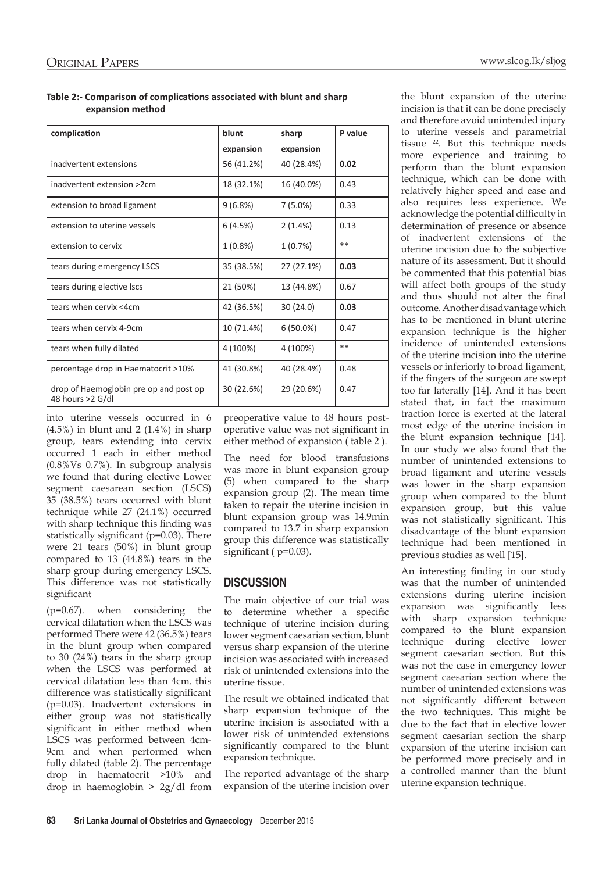**Table 2:- Comparison of complications associated with blunt and sharp expansion method**

| complication                                               | blunt      | sharp       | P value |
|------------------------------------------------------------|------------|-------------|---------|
|                                                            | expansion  | expansion   |         |
| inadvertent extensions                                     | 56 (41.2%) | 40 (28.4%)  | 0.02    |
| inadvertent extension >2cm                                 | 18 (32.1%) | 16 (40.0%)  | 0.43    |
| extension to broad ligament                                | 9(6.8%)    | $7(5.0\%)$  | 0.33    |
| extension to uterine vessels                               | 6(4.5%)    | 2(1.4%)     | 0.13    |
| extension to cervix                                        | $1(0.8\%)$ | 1(0.7%)     | **      |
| tears during emergency LSCS                                | 35 (38.5%) | 27 (27.1%)  | 0.03    |
| tears during elective lscs                                 | 21 (50%)   | 13 (44.8%)  | 0.67    |
| tears when cervix <4cm                                     | 42 (36.5%) | 30(24.0)    | 0.03    |
| tears when cervix 4-9cm                                    | 10 (71.4%) | $6(50.0\%)$ | 0.47    |
| tears when fully dilated                                   | 4 (100%)   | 4 (100%)    | **      |
| percentage drop in Haematocrit >10%                        | 41 (30.8%) | 40 (28.4%)  | 0.48    |
| drop of Haemoglobin pre op and post op<br>48 hours >2 G/dl | 30 (22.6%) | 29 (20.6%)  | 0.47    |

into uterine vessels occurred in 6  $(4.5\%)$  in blunt and 2  $(1.4\%)$  in sharp group, tears extending into cervix occurred 1 each in either method (0.8%Vs 0.7%). In subgroup analysis we found that during elective Lower segment caesarean section (LSCS) 35 (38.5%) tears occurred with blunt technique while 27 (24.1%) occurred with sharp technique this finding was statistically significant (p=0.03). There were 21 tears (50%) in blunt group compared to 13 (44.8%) tears in the sharp group during emergency LSCS. This difference was not statistically significant

(p=0.67). when considering the cervical dilatation when the LSCS was performed There were 42 (36.5%) tears in the blunt group when compared to 30 (24%) tears in the sharp group when the LSCS was performed at cervical dilatation less than 4cm. this difference was statistically significant (p=0.03). Inadvertent extensions in either group was not statistically significant in either method when LSCS was performed between 4cm-9cm and when performed when fully dilated (table 2). The percentage drop in haematocrit >10% and drop in haemoglobin > 2g/dl from preoperative value to 48 hours postoperative value was not significant in either method of expansion ( table 2 ).

The need for blood transfusions was more in blunt expansion group (5) when compared to the sharp expansion group (2). The mean time taken to repair the uterine incision in blunt expansion group was 14.9min compared to 13.7 in sharp expansion group this difference was statistically significant ( $p=0.03$ ).

## **DISCUSSION**

The main objective of our trial was to determine whether a specific technique of uterine incision during lower segment caesarian section, blunt versus sharp expansion of the uterine incision was associated with increased risk of unintended extensions into the uterine tissue.

The result we obtained indicated that sharp expansion technique of the uterine incision is associated with a lower risk of unintended extensions significantly compared to the blunt expansion technique.

The reported advantage of the sharp expansion of the uterine incision over

the blunt expansion of the uterine incision is that it can be done precisely and therefore avoid unintended injury to uterine vessels and parametrial tissue <sup>22</sup>. But this technique needs more experience and training to perform than the blunt expansion technique, which can be done with relatively higher speed and ease and also requires less experience. We acknowledge the potential difficulty in determination of presence or absence of inadvertent extensions of the uterine incision due to the subjective nature of its assessment. But it should be commented that this potential bias will affect both groups of the study and thus should not alter the final outcome. Another disadvantage which has to be mentioned in blunt uterine expansion technique is the higher incidence of unintended extensions of the uterine incision into the uterine vessels or inferiorly to broad ligament, if the fingers of the surgeon are swept too far laterally [14]. And it has been stated that, in fact the maximum traction force is exerted at the lateral most edge of the uterine incision in the blunt expansion technique [14]. In our study we also found that the number of unintended extensions to broad ligament and uterine vessels was lower in the sharp expansion group when compared to the blunt expansion group, but this value was not statistically significant. This disadvantage of the blunt expansion technique had been mentioned in previous studies as well [15].

An interesting finding in our study was that the number of unintended extensions during uterine incision expansion was significantly less with sharp expansion technique compared to the blunt expansion technique during elective lower segment caesarian section. But this was not the case in emergency lower segment caesarian section where the number of unintended extensions was not significantly different between the two techniques. This might be due to the fact that in elective lower segment caesarian section the sharp expansion of the uterine incision can be performed more precisely and in a controlled manner than the blunt uterine expansion technique.